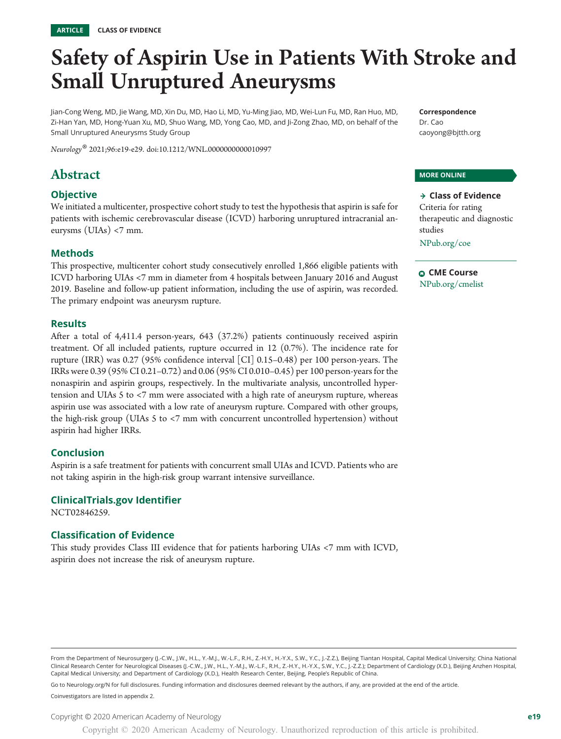# Safety of Aspirin Use in Patients With Stroke and Small Unruptured Aneurysms

Jian-Cong Weng, MD, Jie Wang, MD, Xin Du, MD, Hao Li, MD, Yu-Ming Jiao, MD, Wei-Lun Fu, MD, Ran Huo, MD, Zi-Han Yan, MD, Hong-Yuan Xu, MD, Shuo Wang, MD, Yong Cao, MD, and Ji-Zong Zhao, MD, on behalf of the Small Unruptured Aneurysms Study Group

Neurology® 2021;96:e19-e29. doi[:10.1212/WNL.0000000000010997](http://dx.doi.org/10.1212/WNL.0000000000010997)

# Abstract

# **Objective**

We initiated a multicenter, prospective cohort study to test the hypothesis that aspirin is safe for patients with ischemic cerebrovascular disease (ICVD) harboring unruptured intracranial aneurysms (UIAs) <7 mm.

# Methods

This prospective, multicenter cohort study consecutively enrolled 1,866 eligible patients with ICVD harboring UIAs <7 mm in diameter from 4 hospitals between January 2016 and August 2019. Baseline and follow-up patient information, including the use of aspirin, was recorded. The primary endpoint was aneurysm rupture.

# Results

After a total of 4,411.4 person-years, 643 (37.2%) patients continuously received aspirin treatment. Of all included patients, rupture occurred in 12 (0.7%). The incidence rate for rupture (IRR) was 0.27 (95% confidence interval [CI] 0.15–0.48) per 100 person-years. The IRRs were 0.39 (95% CI 0.21–0.72) and 0.06 (95% CI 0.010–0.45) per 100 person-years for the nonaspirin and aspirin groups, respectively. In the multivariate analysis, uncontrolled hypertension and UIAs 5 to <7 mm were associated with a high rate of aneurysm rupture, whereas aspirin use was associated with a low rate of aneurysm rupture. Compared with other groups, the high-risk group (UIAs 5 to <7 mm with concurrent uncontrolled hypertension) without aspirin had higher IRRs.

# Conclusion

Aspirin is a safe treatment for patients with concurrent small UIAs and ICVD. Patients who are not taking aspirin in the high-risk group warrant intensive surveillance.

# ClinicalTrials.gov Identifier

NCT02846259.

# Classification of Evidence

This study provides Class III evidence that for patients harboring UIAs <7 mm with ICVD, aspirin does not increase the risk of aneurysm rupture.

Dr. Cao [caoyong@bjtth.org](mailto:caoyong@bjtth.org)

### MORE ONLINE

 $\rightarrow$  Class of Evidence Criteria for rating therapeutic and diagnostic studies [NPub.org/coe](http://NPub.org/coe)

**Q CME Course** [NPub.org/cmelist](http://NPub.org/cmelist)

Go to [Neurology.org/N](https://n.neurology.org/lookup/doi/10.1212/WNL.0000000000010997) for full disclosures. Funding information and disclosures deemed relevant by the authors, if any, are provided at the end of the article. Coinvestigators are listed in appendix 2.

Copyright © 2020 American Academy of Neurology e19

Correspondence

From the Department of Neurosurgery (J.-C.W., J.W., H.L., Y.-M.J., W.-L.F., R.H., Z.-H.Y., H.-Y.X., S.W., Y.C., J.-Z.Z.), Beijing Tiantan Hospital, Capital Medical University; China National Clinical Research Center for Neurological Diseases (J.-C.W., J.W., H.L., Y.-M.J., W.-L.F., R.H., Z.-H.Y., H.-Y.X., S.W., Y.C., J.-Z.Z.); Department of Cardiology (X.D.), Beijing Anzhen Hospital, Capital Medical University; and Department of Cardiology (X.D.), Health Research Center, Beijing, People's Republic of China.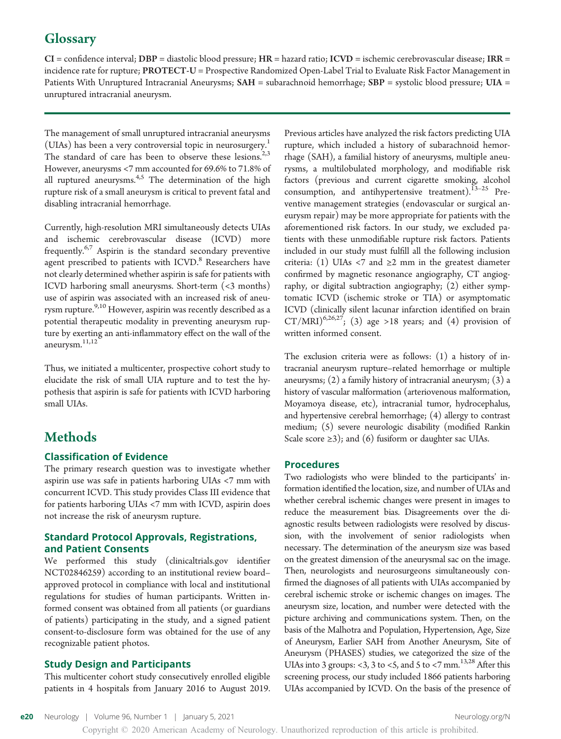# **Glossary**

 $CI =$  confidence interval;  $DBP =$  diastolic blood pressure;  $HR =$  hazard ratio;  $ICVD =$  ischemic cerebrovascular disease;  $IRR =$ incidence rate for rupture; PROTECT-U = Prospective Randomized Open-Label Trial to Evaluate Risk Factor Management in Patients With Unruptured Intracranial Aneurysms; SAH = subarachnoid hemorrhage; SBP = systolic blood pressure; UIA = unruptured intracranial aneurysm.

The management of small unruptured intracranial aneurysms (UIAs) has been a very controversial topic in neurosurgery.<sup>1</sup> The standard of care has been to observe these lesions.<sup>2,3</sup> However, aneurysms <7 mm accounted for 69.6% to 71.8% of all ruptured aneurysms. $4.5$  The determination of the high rupture risk of a small aneurysm is critical to prevent fatal and disabling intracranial hemorrhage.

Currently, high-resolution MRI simultaneously detects UIAs and ischemic cerebrovascular disease (ICVD) more frequently. $6,7$  Aspirin is the standard secondary preventive agent prescribed to patients with ICVD.<sup>8</sup> Researchers have not clearly determined whether aspirin is safe for patients with ICVD harboring small aneurysms. Short-term (<3 months) use of aspirin was associated with an increased risk of aneurysm rupture.<sup>9,10</sup> However, aspirin was recently described as a potential therapeutic modality in preventing aneurysm rupture by exerting an anti-inflammatory effect on the wall of the aneurysm.<sup>11,12</sup>

Thus, we initiated a multicenter, prospective cohort study to elucidate the risk of small UIA rupture and to test the hypothesis that aspirin is safe for patients with ICVD harboring small UIAs.

# **Methods**

# Classification of Evidence

The primary research question was to investigate whether aspirin use was safe in patients harboring UIAs <7 mm with concurrent ICVD. This study provides Class III evidence that for patients harboring UIAs <7 mm with ICVD, aspirin does not increase the risk of aneurysm rupture.

# Standard Protocol Approvals, Registrations, and Patient Consents

We performed this study [\(clinicaltrials.gov](http://clinicaltrials.gov) identifier NCT02846259) according to an institutional review board– approved protocol in compliance with local and institutional regulations for studies of human participants. Written informed consent was obtained from all patients (or guardians of patients) participating in the study, and a signed patient consent-to-disclosure form was obtained for the use of any recognizable patient photos.

# Study Design and Participants

This multicenter cohort study consecutively enrolled eligible patients in 4 hospitals from January 2016 to August 2019.

Previous articles have analyzed the risk factors predicting UIA rupture, which included a history of subarachnoid hemorrhage (SAH), a familial history of aneurysms, multiple aneurysms, a multilobulated morphology, and modifiable risk factors (previous and current cigarette smoking, alcohol consumption, and antihypertensive treatment).  $^{13-25}$  Preventive management strategies (endovascular or surgical aneurysm repair) may be more appropriate for patients with the aforementioned risk factors. In our study, we excluded patients with these unmodifiable rupture risk factors. Patients included in our study must fulfill all the following inclusion criteria: (1) UIAs <7 and  $\geq$ 2 mm in the greatest diameter confirmed by magnetic resonance angiography, CT angiography, or digital subtraction angiography; (2) either symptomatic ICVD (ischemic stroke or TIA) or asymptomatic ICVD (clinically silent lacunar infarction identified on brain CT/MRI)<sup>6,26,27</sup>; (3) age >18 years; and (4) provision of written informed consent.

The exclusion criteria were as follows: (1) a history of intracranial aneurysm rupture–related hemorrhage or multiple aneurysms; (2) a family history of intracranial aneurysm; (3) a history of vascular malformation (arteriovenous malformation, Moyamoya disease, etc), intracranial tumor, hydrocephalus, and hypertensive cerebral hemorrhage; (4) allergy to contrast medium; (5) severe neurologic disability (modified Rankin Scale score  $\geq$ 3); and (6) fusiform or daughter sac UIAs.

# Procedures

Two radiologists who were blinded to the participants' information identified the location, size, and number of UIAs and whether cerebral ischemic changes were present in images to reduce the measurement bias. Disagreements over the diagnostic results between radiologists were resolved by discussion, with the involvement of senior radiologists when necessary. The determination of the aneurysm size was based on the greatest dimension of the aneurysmal sac on the image. Then, neurologists and neurosurgeons simultaneously confirmed the diagnoses of all patients with UIAs accompanied by cerebral ischemic stroke or ischemic changes on images. The aneurysm size, location, and number were detected with the picture archiving and communications system. Then, on the basis of the Malhotra and Population, Hypertension, Age, Size of Aneurysm, Earlier SAH from Another Aneurysm, Site of Aneurysm (PHASES) studies, we categorized the size of the UIAs into 3 groups: <3, 3 to <5, and 5 to <7 mm.<sup>13,28</sup> After this screening process, our study included 1866 patients harboring UIAs accompanied by ICVD. On the basis of the presence of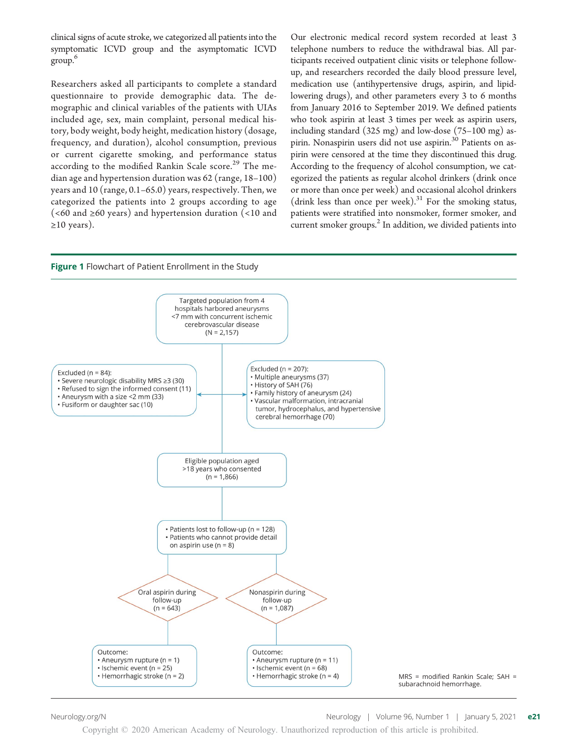clinical signs of acute stroke, we categorized all patients into the symptomatic ICVD group and the asymptomatic ICVD group. 6

Researchers asked all participants to complete a standard questionnaire to provide demographic data. The demographic and clinical variables of the patients with UIAs included age, sex, main complaint, personal medical history, body weight, body height, medication history (dosage, frequency, and duration), alcohol consumption, previous or current cigarette smoking, and performance status according to the modified Rankin Scale score.<sup>29</sup> The median age and hypertension duration was 62 (range, 18–100) years and 10 (range, 0.1–65.0) years, respectively. Then, we categorized the patients into 2 groups according to age  $(<60$  and  $\geq 60$  years) and hypertension duration  $(<10$  and  $≥10$  years).

Our electronic medical record system recorded at least 3 telephone numbers to reduce the withdrawal bias. All participants received outpatient clinic visits or telephone followup, and researchers recorded the daily blood pressure level, medication use (antihypertensive drugs, aspirin, and lipidlowering drugs), and other parameters every 3 to 6 months from January 2016 to September 2019. We defined patients who took aspirin at least 3 times per week as aspirin users, including standard (325 mg) and low-dose (75–100 mg) aspirin. Nonaspirin users did not use aspirin.<sup>30</sup> Patients on aspirin were censored at the time they discontinued this drug. According to the frequency of alcohol consumption, we categorized the patients as regular alcohol drinkers (drink once or more than once per week) and occasional alcohol drinkers (drink less than once per week). $31$  For the smoking status, patients were stratified into nonsmoker, former smoker, and current smoker groups. $<sup>2</sup>$  In addition, we divided patients into</sup>





[Neurology.org/N](http://neurology.org/n) **Neurology | Volume 96, Number 1 | | January 5, 2021 e21**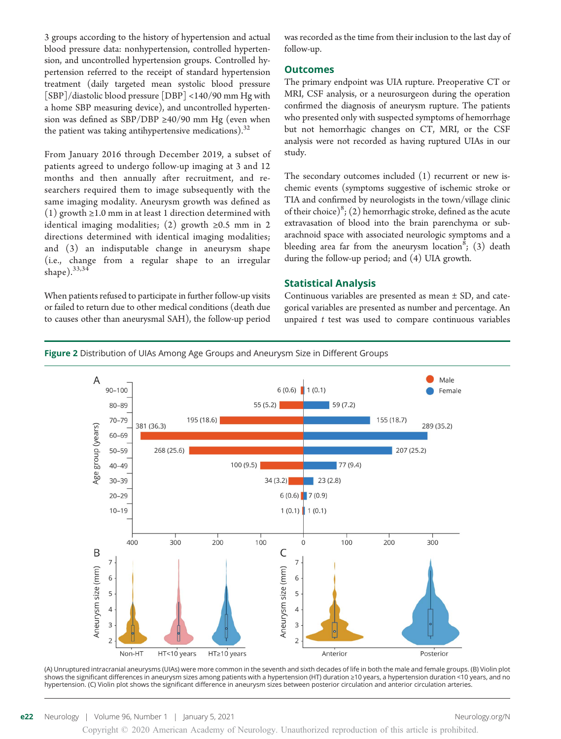3 groups according to the history of hypertension and actual blood pressure data: nonhypertension, controlled hypertension, and uncontrolled hypertension groups. Controlled hypertension referred to the receipt of standard hypertension treatment (daily targeted mean systolic blood pressure [SBP]/diastolic blood pressure [DBP] <140/90 mm Hg with a home SBP measuring device), and uncontrolled hypertension was defined as SBP/DBP ≥40/90 mm Hg (even when the patient was taking antihypertensive medications). $32$ 

From January 2016 through December 2019, a subset of patients agreed to undergo follow-up imaging at 3 and 12 months and then annually after recruitment, and researchers required them to image subsequently with the same imaging modality. Aneurysm growth was defined as  $(1)$  growth  $\geq 1.0$  mm in at least 1 direction determined with identical imaging modalities; (2) growth  $\geq 0.5$  mm in 2 directions determined with identical imaging modalities; and (3) an indisputable change in aneurysm shape (i.e., change from a regular shape to an irregular shape).33,34

When patients refused to participate in further follow-up visits or failed to return due to other medical conditions (death due to causes other than aneurysmal SAH), the follow-up period was recorded as the time from their inclusion to the last day of follow-up.

# **Outcomes**

The primary endpoint was UIA rupture. Preoperative CT or MRI, CSF analysis, or a neurosurgeon during the operation confirmed the diagnosis of aneurysm rupture. The patients who presented only with suspected symptoms of hemorrhage but not hemorrhagic changes on CT, MRI, or the CSF analysis were not recorded as having ruptured UIAs in our study.

The secondary outcomes included (1) recurrent or new ischemic events (symptoms suggestive of ischemic stroke or TIA and confirmed by neurologists in the town/village clinic of their choice)<sup>8</sup>; (2) hemorrhagic stroke, defined as the acute extravasation of blood into the brain parenchyma or subarachnoid space with associated neurologic symptoms and a bleeding area far from the aneurysm location  $\frac{8}{5}$  (3) death during the follow-up period; and (4) UIA growth.

# Statistical Analysis

Continuous variables are presented as mean  $\pm$  SD, and categorical variables are presented as number and percentage. An unpaired  $t$  test was used to compare continuous variables





(A) Unruptured intracranial aneurysms (UIAs) were more common in the seventh and sixth decades of life in both the male and female groups. (B) Violin plot shows the significant differences in aneurysm sizes among patients with a hypertension (HT) duration ≥10 years, a hypertension duration <10 years, and no hypertension. (C) Violin plot shows the significant difference in aneurysm sizes between posterior circulation and anterior circulation arteries.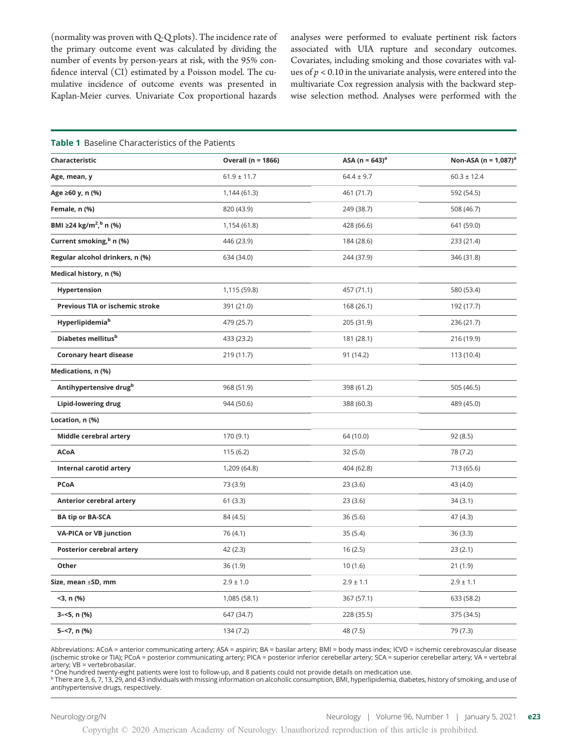(normality was proven with Q-Q plots). The incidence rate of the primary outcome event was calculated by dividing the number of events by person-years at risk, with the 95% confidence interval (CI) estimated by a Poisson model. The cumulative incidence of outcome events was presented in Kaplan-Meier curves. Univariate Cox proportional hazards analyses were performed to evaluate pertinent risk factors associated with UIA rupture and secondary outcomes. Covariates, including smoking and those covariates with values of  $p < 0.10$  in the univariate analysis, were entered into the multivariate Cox regression analysis with the backward stepwise selection method. Analyses were performed with the

#### Table 1 Baseline Characteristics of the Patients

| Characteristic                                 | Overall (n = 1866) | ASA (n = $643$ ) <sup>a</sup> | Non-ASA ( $n = 1,087$ ) <sup>a</sup> |
|------------------------------------------------|--------------------|-------------------------------|--------------------------------------|
| Age, mean, y                                   | $61.9 \pm 11.7$    | $64.4 \pm 9.7$                | $60.3 \pm 12.4$                      |
| Age ≥60 y, n (%)                               | 1,144 (61.3)       | 461 (71.7)                    | 592 (54.5)                           |
| Female, n (%)                                  | 820 (43.9)         | 249 (38.7)                    | 508 (46.7)                           |
| BMI ≥24 kg/m <sup>2</sup> , <sup>b</sup> n (%) | 1,154 (61.8)       | 428 (66.6)                    | 641 (59.0)                           |
| Current smoking, <sup>b</sup> n (%)            | 446 (23.9)         | 184 (28.6)                    | 233 (21.4)                           |
| Regular alcohol drinkers, n (%)                | 634 (34.0)         | 244 (37.9)                    | 346 (31.8)                           |
| Medical history, n (%)                         |                    |                               |                                      |
| <b>Hypertension</b>                            | 1,115 (59.8)       | 457 (71.1)                    | 580 (53.4)                           |
| Previous TIA or ischemic stroke                | 391 (21.0)         | 168 (26.1)                    | 192 (17.7)                           |
| Hyperlipidemia <sup>b</sup>                    | 479 (25.7)         | 205 (31.9)                    | 236 (21.7)                           |
| Diabetes mellitus <sup>b</sup>                 | 433 (23.2)         | 181 (28.1)                    | 216 (19.9)                           |
| <b>Coronary heart disease</b>                  | 219 (11.7)         | 91 (14.2)                     | 113 (10.4)                           |
| Medications, n (%)                             |                    |                               |                                      |
| Antihypertensive drugb                         | 968 (51.9)         | 398 (61.2)                    | 505 (46.5)                           |
| Lipid-lowering drug                            | 944 (50.6)         | 388 (60.3)                    | 489 (45.0)                           |
| Location, n (%)                                |                    |                               |                                      |
| Middle cerebral artery                         | 170 (9.1)          | 64 (10.0)                     | 92(8.5)                              |
| <b>ACoA</b>                                    | 115(6.2)           | 32(5.0)                       | 78 (7.2)                             |
| Internal carotid artery                        | 1,209 (64.8)       | 404 (62.8)                    | 713 (65.6)                           |
| <b>PCoA</b>                                    | 73 (3.9)           | 23(3.6)                       | 43 (4.0)                             |
| Anterior cerebral artery                       | 61(3.3)            | 23(3.6)                       | 34(3.1)                              |
| <b>BA tip or BA-SCA</b>                        | 84 (4.5)           | 36(5.6)                       | 47 (4.3)                             |
| <b>VA-PICA or VB junction</b>                  | 76 (4.1)           | 35(5.4)                       | 36(3.3)                              |
| <b>Posterior cerebral artery</b>               | 42 (2.3)           | 16 (2.5)                      | 23(2.1)                              |
| Other                                          | 36 (1.9)           | 10(1.6)                       | 21 (1.9)                             |
| Size, mean ±SD, mm                             | $2.9 \pm 1.0$      | $2.9 \pm 1.1$                 | $2.9 \pm 1.1$                        |
| <3, n (%)                                      | 1,085 (58.1)       | 367 (57.1)                    | 633 (58.2)                           |
| $3 - 5$ , n $(%)$                              | 647 (34.7)         | 228 (35.5)                    | 375 (34.5)                           |
| 5-<7, n (%)                                    | 134 (7.2)          | 48 (7.5)                      | 79 (7.3)                             |
|                                                |                    |                               |                                      |

Abbreviations: ACoA = anterior communicating artery; ASA = aspirin; BA = basilar artery; BMI = body mass index; ICVD = ischemic cerebrovascular disease (ischemic stroke or TIA); PCoA = posterior communicating artery; PICA = posterior inferior cerebellar artery; SCA = superior cerebellar artery; VA = vertebral artery; VB = vertebrobasilar.

a One hundred twenty-eight patients were lost to follow-up, and 8 patients could not provide details on medication use.

<sup>b</sup> There are 3, 6, 7, 13, 29, and 43 individuals with missing information on alcoholic consumption, BMI, hyperlipidemia, diabetes, history of smoking, and use of antihypertensive drugs, respectively.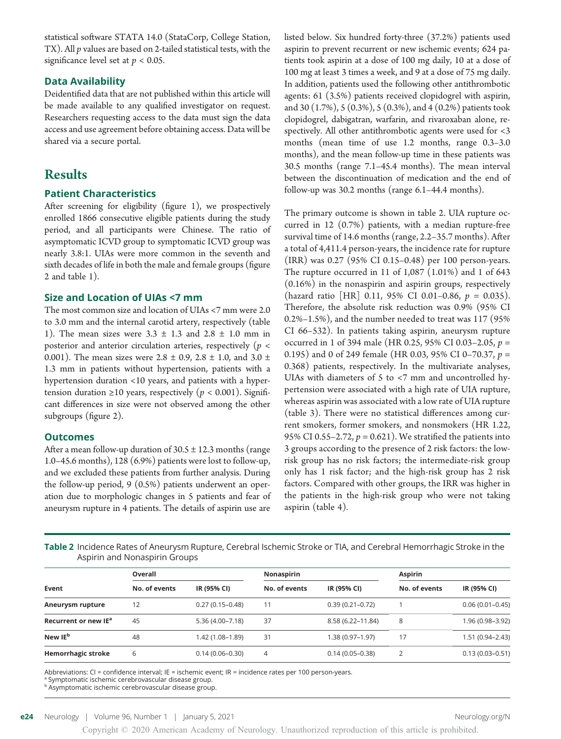statistical software STATA 14.0 (StataCorp, College Station, TX). All p values are based on 2-tailed statistical tests, with the significance level set at  $p < 0.05$ .

# Data Availability

Deidentified data that are not published within this article will be made available to any qualified investigator on request. Researchers requesting access to the data must sign the data access and use agreement before obtaining access. Data will be shared via a secure portal.

# **Results**

## Patient Characteristics

After screening for eligibility (figure 1), we prospectively enrolled 1866 consecutive eligible patients during the study period, and all participants were Chinese. The ratio of asymptomatic ICVD group to symptomatic ICVD group was nearly 3.8:1. UIAs were more common in the seventh and sixth decades of life in both the male and female groups (figure 2 and table 1).

## Size and Location of UIAs <7 mm

The most common size and location of UIAs <7 mm were 2.0 to 3.0 mm and the internal carotid artery, respectively (table 1). The mean sizes were  $3.3 \pm 1.3$  and  $2.8 \pm 1.0$  mm in posterior and anterior circulation arteries, respectively ( $p <$ 0.001). The mean sizes were 2.8  $\pm$  0.9, 2.8  $\pm$  1.0, and 3.0  $\pm$ 1.3 mm in patients without hypertension, patients with a hypertension duration <10 years, and patients with a hypertension duration ≥10 years, respectively ( $p < 0.001$ ). Significant differences in size were not observed among the other subgroups (figure 2).

#### **Outcomes**

After a mean follow-up duration of  $30.5 \pm 12.3$  months (range 1.0–45.6 months), 128 (6.9%) patients were lost to follow-up, and we excluded these patients from further analysis. During the follow-up period, 9 (0.5%) patients underwent an operation due to morphologic changes in 5 patients and fear of aneurysm rupture in 4 patients. The details of aspirin use are listed below. Six hundred forty-three (37.2%) patients used aspirin to prevent recurrent or new ischemic events; 624 patients took aspirin at a dose of 100 mg daily, 10 at a dose of 100 mg at least 3 times a week, and 9 at a dose of 75 mg daily. In addition, patients used the following other antithrombotic agents: 61 (3.5%) patients received clopidogrel with aspirin, and 30 (1.7%), 5 (0.3%), 5 (0.3%), and 4 (0.2%) patients took clopidogrel, dabigatran, warfarin, and rivaroxaban alone, respectively. All other antithrombotic agents were used for <3 months (mean time of use 1.2 months, range 0.3–3.0) months), and the mean follow-up time in these patients was 30.5 months (range 7.1–45.4 months). The mean interval between the discontinuation of medication and the end of follow-up was 30.2 months (range 6.1–44.4 months).

The primary outcome is shown in table 2. UIA rupture occurred in 12 (0.7%) patients, with a median rupture-free survival time of 14.6 months (range, 2.2–35.7 months). After a total of 4,411.4 person-years, the incidence rate for rupture (IRR) was 0.27 (95% CI 0.15–0.48) per 100 person-years. The rupture occurred in 11 of 1,087 (1.01%) and 1 of 643 (0.16%) in the nonaspirin and aspirin groups, respectively (hazard ratio [HR] 0.11, 95% CI 0.01-0.86,  $p = 0.035$ ). Therefore, the absolute risk reduction was 0.9% (95% CI 0.2%–1.5%), and the number needed to treat was 117 (95% CI 66–532). In patients taking aspirin, aneurysm rupture occurred in 1 of 394 male (HR 0.25, 95% CI 0.03–2.05, p <sup>=</sup> 0.195) and 0 of 249 female (HR 0.03, 95% CI 0-70.37,  $p =$ 0.368) patients, respectively. In the multivariate analyses, UIAs with diameters of 5 to <7 mm and uncontrolled hypertension were associated with a high rate of UIA rupture, whereas aspirin was associated with a low rate of UIA rupture (table 3). There were no statistical differences among current smokers, former smokers, and nonsmokers (HR 1.22, 95% CI 0.55–2.72,  $p = 0.621$ ). We stratified the patients into 3 groups according to the presence of 2 risk factors: the lowrisk group has no risk factors; the intermediate-risk group only has 1 risk factor; and the high-risk group has 2 risk factors. Compared with other groups, the IRR was higher in the patients in the high-risk group who were not taking aspirin (table 4).

Table 2 Incidence Rates of Aneurysm Rupture, Cerebral Ischemic Stroke or TIA, and Cerebral Hemorrhagic Stroke in the Aspirin and Nonaspirin Groups

|                                  | Overall       |                     | Nonaspirin    |                     | <b>Aspirin</b> |                     |
|----------------------------------|---------------|---------------------|---------------|---------------------|----------------|---------------------|
| Event                            | No. of events | IR (95% CI)         | No. of events | IR (95% CI)         | No. of events  | IR (95% CI)         |
| Aneurysm rupture                 | 12            | $0.27(0.15 - 0.48)$ | 11            | $0.39(0.21 - 0.72)$ |                | $0.06(0.01 - 0.45)$ |
| Recurrent or new IE <sup>a</sup> | 45            | 5.36 (4.00-7.18)    | 37            | 8.58 (6.22-11.84)   | 8              | 1.96 (0.98-3.92)    |
| New IE <sup>b</sup>              | 48            | 1.42 (1.08-1.89)    | 31            | 1.38 (0.97-1.97)    | 17             | 1.51 (0.94-2.43)    |
| <b>Hemorrhagic stroke</b>        | 6             | $0.14(0.06 - 0.30)$ | 4             | $0.14(0.05 - 0.38)$ |                | $0.13(0.03 - 0.51)$ |

Abbreviations: CI = confidence interval; IE = ischemic event; IR = incidence rates per 100 person-years.

Symptomatic ischemic cerebrovascular disease group.

**b Asymptomatic ischemic cerebrovascular disease group.**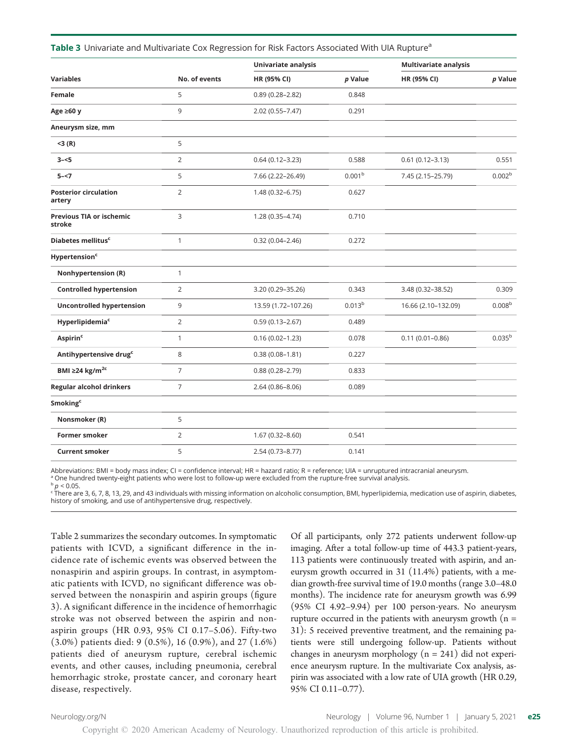|                                           | $\check{ }$    |                     |                    |                              |                    |
|-------------------------------------------|----------------|---------------------|--------------------|------------------------------|--------------------|
|                                           |                | Univariate analysis |                    | <b>Multivariate analysis</b> |                    |
| <b>Variables</b>                          | No. of events  | HR (95% CI)         | p Value            | HR (95% CI)                  | p Value            |
| Female                                    | 5              | $0.89(0.28 - 2.82)$ | 0.848              |                              |                    |
| Age $\geq 60$ y                           | 9              | $2.02(0.55 - 7.47)$ | 0.291              |                              |                    |
| Aneurysm size, mm                         |                |                     |                    |                              |                    |
| $<$ 3 (R)                                 | 5              |                     |                    |                              |                    |
| $3 - 5$                                   | 2              | $0.64(0.12 - 3.23)$ | 0.588              | $0.61(0.12 - 3.13)$          | 0.551              |
| $5 - 7$                                   | 5              | 7.66 (2.22-26.49)   | 0.001 <sup>b</sup> | 7.45 (2.15-25.79)            | 0.002 <sup>b</sup> |
| <b>Posterior circulation</b><br>artery    | $\overline{2}$ | 1.48 (0.32-6.75)    | 0.627              |                              |                    |
| <b>Previous TIA or ischemic</b><br>stroke | 3              | 1.28 (0.35-4.74)    | 0.710              |                              |                    |
| Diabetes mellitus <sup>c</sup>            | $\mathbf{1}$   | $0.32(0.04 - 2.46)$ | 0.272              |                              |                    |
| Hypertension <sup>c</sup>                 |                |                     |                    |                              |                    |
| <b>Nonhypertension (R)</b>                | 1              |                     |                    |                              |                    |
| <b>Controlled hypertension</b>            | $\overline{2}$ | 3.20 (0.29-35.26)   | 0.343              | 3.48 (0.32-38.52)            | 0.309              |
| <b>Uncontrolled hypertension</b>          | 9              | 13.59 (1.72-107.26) | 0.013 <sup>b</sup> | 16.66 (2.10-132.09)          | $0.008^{\rm b}$    |
| Hyperlipidemia <sup>c</sup>               | $\overline{2}$ | $0.59(0.13 - 2.67)$ | 0.489              |                              |                    |
| <b>Aspirin<sup>c</sup></b>                | $\mathbf{1}$   | $0.16(0.02 - 1.23)$ | 0.078              | $0.11(0.01 - 0.86)$          | 0.035 <sup>b</sup> |
| Antihypertensive drug <sup>c</sup>        | 8              | $0.38(0.08 - 1.81)$ | 0.227              |                              |                    |
| BMI ≥24 kg/m <sup>2c</sup>                | $\overline{7}$ | $0.88(0.28 - 2.79)$ | 0.833              |                              |                    |
| <b>Regular alcohol drinkers</b>           | 7              | $2.64(0.86 - 8.06)$ | 0.089              |                              |                    |
| Smoking <sup>c</sup>                      |                |                     |                    |                              |                    |
| Nonsmoker (R)                             | 5              |                     |                    |                              |                    |
| <b>Former smoker</b>                      | $\overline{2}$ | $1.67(0.32 - 8.60)$ | 0.541              |                              |                    |
| <b>Current smoker</b>                     | 5              | $2.54(0.73 - 8.77)$ | 0.141              |                              |                    |
|                                           |                |                     |                    |                              |                    |

#### Table 3 Univariate and Multivariate Cox Regression for Risk Factors Associated With UIA Rupture<sup>a</sup>

Abbreviations: BMI = body mass index; CI = confidence interval; HR = hazard ratio; R = reference; UIA = unruptured intracranial aneurysm. One hundred twenty-eight patients who were lost to follow-up were excluded from the rupture-free survival analysis.

 $p < 0.05$ .

 $\frac{c}{1}$  There are 3, 6, 7, 8, 13, 29, and 43 individuals with missing information on alcoholic consumption, BMI, hyperlipidemia, medication use of aspirin, diabetes, history of smoking, and use of antihypertensive drug, respectively.

Copyright © 2020 American Academy of Neurology. Unauthorized reproduction of this article is prohibited.

Table 2 summarizes the secondary outcomes. In symptomatic patients with ICVD, a significant difference in the incidence rate of ischemic events was observed between the nonaspirin and aspirin groups. In contrast, in asymptomatic patients with ICVD, no significant difference was observed between the nonaspirin and aspirin groups (figure 3). A significant difference in the incidence of hemorrhagic stroke was not observed between the aspirin and nonaspirin groups (HR 0.93, 95% CI 0.17–5.06). Fifty-two (3.0%) patients died: 9 (0.5%), 16 (0.9%), and 27 (1.6%) patients died of aneurysm rupture, cerebral ischemic events, and other causes, including pneumonia, cerebral hemorrhagic stroke, prostate cancer, and coronary heart disease, respectively.

Of all participants, only 272 patients underwent follow-up imaging. After a total follow-up time of 443.3 patient-years, 113 patients were continuously treated with aspirin, and aneurysm growth occurred in 31 (11.4%) patients, with a median growth-free survival time of 19.0 months (range 3.0–48.0 months). The incidence rate for aneurysm growth was 6.99 (95% CI 4.92–9.94) per 100 person-years. No aneurysm rupture occurred in the patients with aneurysm growth  $(n =$ 31): 5 received preventive treatment, and the remaining patients were still undergoing follow-up. Patients without changes in aneurysm morphology  $(n = 241)$  did not experience aneurysm rupture. In the multivariate Cox analysis, aspirin was associated with a low rate of UIA growth (HR 0.29, 95% CI 0.11–0.77).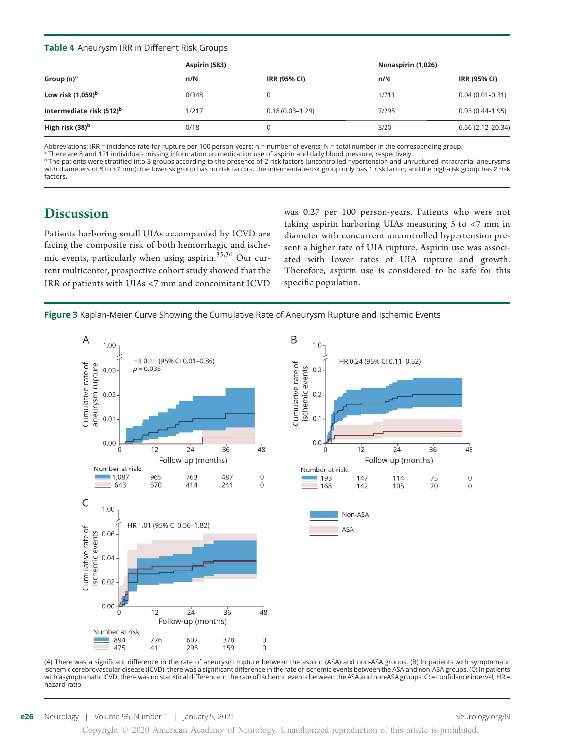#### Table 4 Aneurysm IRR in Different Risk Groups

| Aspirin (583)<br>Nonaspirin (1,026)<br>Group $(n)^a$<br>n/N<br><b>IRR (95% CI)</b><br><b>IRR (95% CI)</b><br>n/N<br>Low risk $(1,059)^b$<br>1/711<br>0/348<br>Intermediate risk (512) <sup>b</sup><br>1/217<br>7/295<br>$0.18(0.03 - 1.29)$<br>High risk (38) <sup>b</sup><br>0/18<br>3/20 |  |  |                     |
|--------------------------------------------------------------------------------------------------------------------------------------------------------------------------------------------------------------------------------------------------------------------------------------------|--|--|---------------------|
|                                                                                                                                                                                                                                                                                            |  |  |                     |
|                                                                                                                                                                                                                                                                                            |  |  |                     |
|                                                                                                                                                                                                                                                                                            |  |  | $0.04(0.01 - 0.31)$ |
|                                                                                                                                                                                                                                                                                            |  |  | $0.93(0.44 - 1.95)$ |
|                                                                                                                                                                                                                                                                                            |  |  | 6.56 (2.12-20.34)   |

Abbreviations: IRR = incidence rate for rupture per 100 person-years; n = number of events; N = total number in the corresponding group.

<sup>a</sup> There are 8 and 121 individuals missing information on medication use of aspirin and daily blood pressure, respectively.

<sup>b</sup> The patients were stratified into 3 groups according to the presence of 2 risk factors (uncontrolled hypertension and unruptured intracranial aneurysms with diameters of 5 to <7 mm): the low-risk group has no risk factors; the intermediate-risk group only has 1 risk factor; and the high-risk group has 2 risk factors.

# **Discussion**

Patients harboring small UIAs accompanied by ICVD are facing the composite risk of both hemorrhagic and ischemic events, particularly when using aspirin.<sup>35,36</sup> Our current multicenter, prospective cohort study showed that the IRR of patients with UIAs <7 mm and concomitant ICVD

was 0.27 per 100 person-years. Patients who were not taking aspirin harboring UIAs measuring 5 to <7 mm in diameter with concurrent uncontrolled hypertension present a higher rate of UIA rupture. Aspirin use was associated with lower rates of UIA rupture and growth. Therefore, aspirin use is considered to be safe for this specific population.

Figure 3 Kaplan-Meier Curve Showing the Cumulative Rate of Aneurysm Rupture and Ischemic Events



(A) There was a significant difference in the rate of aneurysm rupture between the aspirin (ASA) and non-ASA groups. (B) In patients with symptomatic ischemic cerebrovascular disease (ICVD), there was a significant difference in the rate of ischemic events between the ASA and non-ASA groups. (C) In patients with asymptomatic ICVD, there was no statistical difference in the rate of ischemic events between the ASA and non-ASA groups. CI = confidence interval; HR = hazard ratio.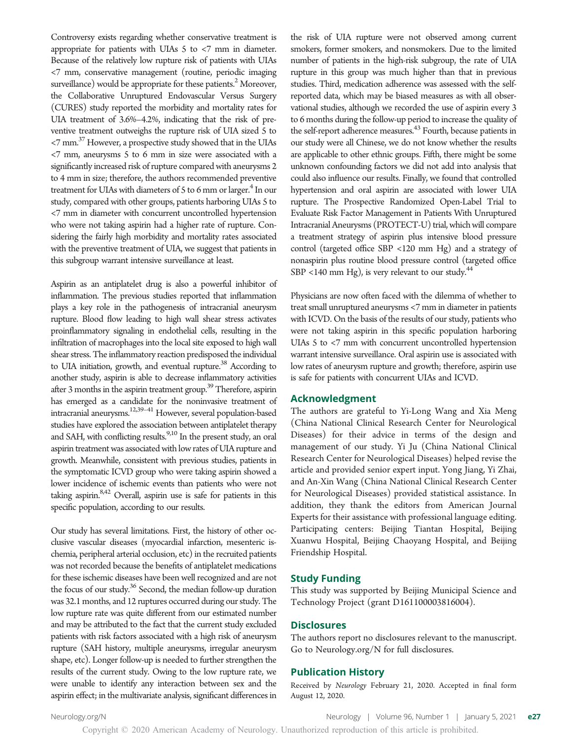Controversy exists regarding whether conservative treatment is appropriate for patients with UIAs 5 to <7 mm in diameter. Because of the relatively low rupture risk of patients with UIAs <7 mm, conservative management (routine, periodic imaging surveillance) would be appropriate for these patients.<sup>2</sup> Moreover, the Collaborative Unruptured Endovascular Versus Surgery (CURES) study reported the morbidity and mortality rates for UIA treatment of 3.6%–4.2%, indicating that the risk of preventive treatment outweighs the rupture risk of UIA sized 5 to  $\langle 7 \text{ mm.}^{37}$  However, a prospective study showed that in the UIAs <7 mm, aneurysms 5 to 6 mm in size were associated with a significantly increased risk of rupture compared with aneurysms 2 to 4 mm in size; therefore, the authors recommended preventive treatment for UIAs with diameters of 5 to 6 mm or larger.<sup>4</sup> In our study, compared with other groups, patients harboring UIAs 5 to <7 mm in diameter with concurrent uncontrolled hypertension who were not taking aspirin had a higher rate of rupture. Considering the fairly high morbidity and mortality rates associated with the preventive treatment of UIA, we suggest that patients in this subgroup warrant intensive surveillance at least.

Aspirin as an antiplatelet drug is also a powerful inhibitor of inflammation. The previous studies reported that inflammation plays a key role in the pathogenesis of intracranial aneurysm rupture. Blood flow leading to high wall shear stress activates proinflammatory signaling in endothelial cells, resulting in the infiltration of macrophages into the local site exposed to high wall shear stress. The inflammatory reaction predisposed the individual to UIA initiation, growth, and eventual rupture.<sup>38</sup> According to another study, aspirin is able to decrease inflammatory activities after 3 months in the aspirin treatment group.<sup>39</sup> Therefore, aspirin has emerged as a candidate for the noninvasive treatment of intracranial aneurysms.12,39–<sup>41</sup> However, several population-based studies have explored the association between antiplatelet therapy and SAH, with conflicting results.<sup>9,10</sup> In the present study, an oral aspirin treatment was associated with low rates of UIA rupture and growth. Meanwhile, consistent with previous studies, patients in the symptomatic ICVD group who were taking aspirin showed a lower incidence of ischemic events than patients who were not taking aspirin.<sup>8,42</sup> Overall, aspirin use is safe for patients in this specific population, according to our results.

Our study has several limitations. First, the history of other occlusive vascular diseases (myocardial infarction, mesenteric ischemia, peripheral arterial occlusion, etc) in the recruited patients was not recorded because the benefits of antiplatelet medications for these ischemic diseases have been well recognized and are not the focus of our study.<sup>36</sup> Second, the median follow-up duration was 32.1 months, and 12 ruptures occurred during our study. The low rupture rate was quite different from our estimated number and may be attributed to the fact that the current study excluded patients with risk factors associated with a high risk of aneurysm rupture (SAH history, multiple aneurysms, irregular aneurysm shape, etc). Longer follow-up is needed to further strengthen the results of the current study. Owing to the low rupture rate, we were unable to identify any interaction between sex and the aspirin effect; in the multivariate analysis, significant differences in

the risk of UIA rupture were not observed among current smokers, former smokers, and nonsmokers. Due to the limited number of patients in the high-risk subgroup, the rate of UIA rupture in this group was much higher than that in previous studies. Third, medication adherence was assessed with the selfreported data, which may be biased measures as with all observational studies, although we recorded the use of aspirin every 3 to 6 months during the follow-up period to increase the quality of the self-report adherence measures.<sup>43</sup> Fourth, because patients in our study were all Chinese, we do not know whether the results are applicable to other ethnic groups. Fifth, there might be some unknown confounding factors we did not add into analysis that could also influence our results. Finally, we found that controlled hypertension and oral aspirin are associated with lower UIA rupture. The Prospective Randomized Open-Label Trial to Evaluate Risk Factor Management in Patients With Unruptured Intracranial Aneurysms (PROTECT-U) trial, which will compare a treatment strategy of aspirin plus intensive blood pressure control (targeted office SBP <120 mm Hg) and a strategy of nonaspirin plus routine blood pressure control (targeted office  $SBP < 140$  mm Hg), is very relevant to our study.<sup>44</sup>

Physicians are now often faced with the dilemma of whether to treat small unruptured aneurysms <7 mm in diameter in patients with ICVD. On the basis of the results of our study, patients who were not taking aspirin in this specific population harboring UIAs 5 to <7 mm with concurrent uncontrolled hypertension warrant intensive surveillance. Oral aspirin use is associated with low rates of aneurysm rupture and growth; therefore, aspirin use is safe for patients with concurrent UIAs and ICVD.

#### Acknowledgment

The authors are grateful to Yi-Long Wang and Xia Meng (China National Clinical Research Center for Neurological Diseases) for their advice in terms of the design and management of our study. Yi Ju (China National Clinical Research Center for Neurological Diseases) helped revise the article and provided senior expert input. Yong Jiang, Yi Zhai, and An-Xin Wang (China National Clinical Research Center for Neurological Diseases) provided statistical assistance. In addition, they thank the editors from American Journal Experts for their assistance with professional language editing. Participating centers: Beijing Tiantan Hospital, Beijing Xuanwu Hospital, Beijing Chaoyang Hospital, and Beijing Friendship Hospital.

#### Study Funding

This study was supported by Beijing Municipal Science and Technology Project (grant D161100003816004).

#### **Disclosures**

The authors report no disclosures relevant to the manuscript. Go to [Neurology.org/N](https://n.neurology.org/lookup/doi/10.1212/WNL.0000000000010997) for full disclosures.

#### Publication History

Received by Neurology February 21, 2020. Accepted in final form August 12, 2020.

[Neurology.org/N](http://neurology.org/n) Neurology | Volume 96, Number 1 | January 5, 2021 **e27**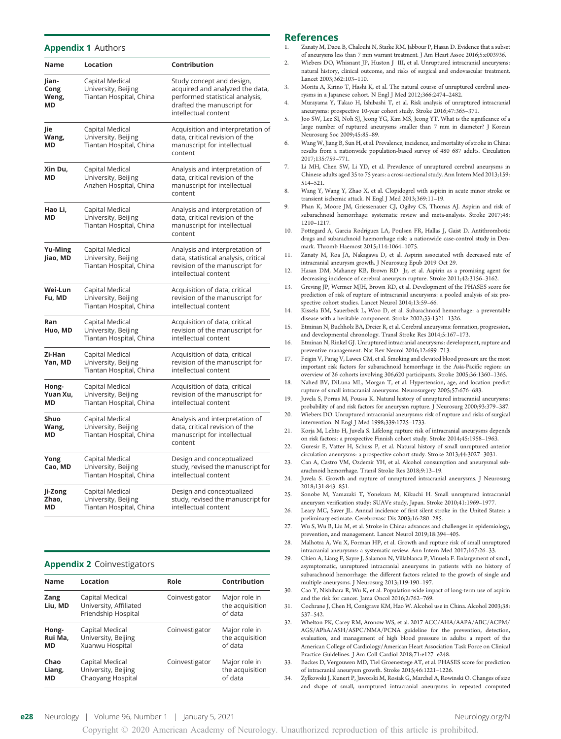#### **Appendix 1 Authors**

| Name                         | Location                                                          | Contribution                                                                                                                                          |
|------------------------------|-------------------------------------------------------------------|-------------------------------------------------------------------------------------------------------------------------------------------------------|
| Jian-<br>Cong<br>Weng,<br>МD | Capital Medical<br>University, Beijing<br>Tiantan Hospital, China | Study concept and design,<br>acquired and analyzed the data,<br>performed statistical analysis,<br>drafted the manuscript for<br>intellectual content |
| Jie<br>Wang,<br>МD           | Capital Medical<br>University, Beijing<br>Tiantan Hospital, China | Acquisition and interpretation of<br>data, critical revision of the<br>manuscript for intellectual<br>content                                         |
| Xin Du,<br>МD                | Capital Medical<br>University, Beijing<br>Anzhen Hospital, China  | Analysis and interpretation of<br>data, critical revision of the<br>manuscript for intellectual<br>content                                            |
| Hao Li,<br>МD                | Capital Medical<br>University, Beijing<br>Tiantan Hospital, China | Analysis and interpretation of<br>data, critical revision of the<br>manuscript for intellectual<br>content                                            |
| Yu-Ming<br>Jiao, MD          | Capital Medical<br>University, Beijing<br>Tiantan Hospital, China | Analysis and interpretation of<br>data, statistical analysis, critical<br>revision of the manuscript for<br>intellectual content                      |
| Wei-Lun<br>Fu, MD            | Capital Medical<br>University, Beijing<br>Tiantan Hospital, China | Acquisition of data, critical<br>revision of the manuscript for<br>intellectual content                                                               |
| Ran<br>Huo, MD               | Capital Medical<br>University, Beijing<br>Tiantan Hospital, China | Acquisition of data, critical<br>revision of the manuscript for<br>intellectual content                                                               |
| Zi-Han<br>Yan, MD            | Capital Medical<br>University, Beijing<br>Tiantan Hospital, China | Acquisition of data, critical<br>revision of the manuscript for<br>intellectual content                                                               |
| Hong-<br>Yuan Xu,<br>МD      | Capital Medical<br>University, Beijing<br>Tiantan Hospital, China | Acquisition of data, critical<br>revision of the manuscript for<br>intellectual content                                                               |
| Shuo<br>Wang,<br>MD          | Capital Medical<br>University, Beijing<br>Tiantan Hospital, China | Analysis and interpretation of<br>data, critical revision of the<br>manuscript for intellectual<br>content                                            |
| Yong<br>Cao, MD              | Capital Medical<br>University, Beijing<br>Tiantan Hospital, China | Design and conceptualized<br>study, revised the manuscript for<br>intellectual content                                                                |
| Ji-Zong<br>Zhao,<br>МD       | Capital Medical<br>University, Beijing<br>Tiantan Hospital, China | Design and conceptualized<br>study, revised the manuscript for<br>intellectual content                                                                |

## **Appendix 2 Coinvestigators**

| <b>Name</b>                 | Location                                                         | Role           | Contribution                                |
|-----------------------------|------------------------------------------------------------------|----------------|---------------------------------------------|
| Zang<br>Liu, MD             | Capital Medical<br>University, Affiliated<br>Friendship Hospital | Coinvestigator | Major role in<br>the acquisition<br>of data |
| Hong-<br>Rui Ma,<br>MD      | Capital Medical<br>University, Beijing<br>Xuanwu Hospital        | Coinvestigator | Major role in<br>the acquisition<br>of data |
| Chao<br>Liang,<br><b>MD</b> | Capital Medical<br>University, Beijing<br>Chaoyang Hospital      | Coinvestigator | Major role in<br>the acquisition<br>of data |

## References

- Zanaty M, Daou B, Chalouhi N, Starke RM, Jabbour P, Hasan D. Evidence that a subset of aneurysms less than 7 mm warrant treatment. J Am Heart Assoc 2016;5:e003936.
- Wiebers DO, Whisnant JP, Huston J III, et al. Unruptured intracranial aneurysms: natural history, clinical outcome, and risks of surgical and endovascular treatment. Lancet 2003;362:103–110.
- 3. Morita A, Kirino T, Hashi K, et al. The natural course of unruptured cerebral aneurysms in a Japanese cohort. N Engl J Med 2012;366:2474–2482.
- 4. Murayama Y, Takao H, Ishibashi T, et al. Risk analysis of unruptured intracranial aneurysms: prospective 10-year cohort study. Stroke 2016;47:365–371.
- 5. Joo SW, Lee SI, Noh SJ, Jeong YG, Kim MS, Jeong YT. What is the significance of a large number of ruptured aneurysms smaller than 7 mm in diameter? J Korean Neurosurg Soc 2009;45:85–89.
- 6. Wang W, Jiang B, Sun H, et al. Prevalence, incidence, and mortality of stroke in China: results from a nationwide population-based survey of 480 687 adults. Circulation 2017;135:759–771.
- Li MH, Chen SW, Li YD, et al. Prevalence of unruptured cerebral aneurysms in Chinese adults aged 35 to 75 years: a cross-sectional study. Ann Intern Med 2013;159: 514–521.
- 8. Wang Y, Wang Y, Zhao X, et al. Clopidogrel with aspirin in acute minor stroke or transient ischemic attack. N Engl J Med 2013;369:11–19.
- Phan K, Moore JM, Griessenauer CJ, Ogilvy CS, Thomas AJ. Aspirin and risk of subarachnoid hemorrhage: systematic review and meta-analysis. Stroke 2017;48: 1210–1217.
- 10. Pottegard A, Garcia Rodriguez LA, Poulsen FR, Hallas J, Gaist D. Antithrombotic drugs and subarachnoid haemorrhage risk: a nationwide case-control study in Denmark. Thromb Haemost 2015;114:1064–1075.
- 11. Zanaty M, Roa JA, Nakagawa D, et al. Aspirin associated with decreased rate of intracranial aneurysm growth. J Neurosurg Epub 2019 Oct 29.
- 12. Hasan DM, Mahaney KB, Brown RD Jr, et al. Aspirin as a promising agent for decreasing incidence of cerebral aneurysm rupture. Stroke 2011;42:3156–3162.
- 13. Greving JP, Wermer MJH, Brown RD, et al. Development of the PHASES score for prediction of risk of rupture of intracranial aneurysms: a pooled analysis of six prospective cohort studies. Lancet Neurol 2014;13:59–66.
- 14. Kissela BM, Sauerbeck L, Woo D, et al. Subarachnoid hemorrhage: a preventable disease with a heritable component. Stroke 2002;33:1321–1326.
- 15. Etminan N, Buchholz BA, Dreier R, et al. Cerebral aneurysms: formation, progression, and developmental chronology. Transl Stroke Res 2014;5:167–173.
- 16. Etminan N, Rinkel GJ. Unruptured intracranial aneurysms: development, rupture and preventive management. Nat Rev Neurol 2016;12:699–713.
- 17. Feigin V, Parag V, Lawes CM, et al. Smoking and elevated blood pressure are the most important risk factors for subarachnoid hemorrhage in the Asia-Pacific region: an overview of 26 cohorts involving 306,620 participants. Stroke 2005;36:1360–1365.
- 18. Nahed BV, DiLuna ML, Morgan T, et al. Hypertension, age, and location predict rupture of small intracranial aneurysms. Neurosurgery 2005;57:676–683.
- 19. Juvela S, Porras M, Poussa K. Natural history of unruptured intracranial aneurysms: probability of and risk factors for aneurysm rupture. J Neurosurg 2000;93:379–387.
- 20. Wiebers DO. Unruptured intracranial aneurysms: risk of rupture and risks of surgical intervention. N Engl J Med 1998;339:1725–1733.
- 21. Korja M, Lehto H, Juvela S. Lifelong rupture risk of intracranial aneurysms depends on risk factors: a prospective Finnish cohort study. Stroke 2014;45:1958–1963.
- 22. Guresir E, Vatter H, Schuss P, et al. Natural history of small unruptured anterior circulation aneurysms: a prospective cohort study. Stroke 2013;44:3027–3031.
- 23. Can A, Castro VM, Ozdemir YH, et al. Alcohol consumption and aneurysmal subarachnoid hemorrhage. Transl Stroke Res 2018;9:13–19.
- 24. Juvela S. Growth and rupture of unruptured intracranial aneurysms. J Neurosurg 2018;131:843–851.
- 25. Sonobe M, Yamazaki T, Yonekura M, Kikuchi H. Small unruptured intracranial aneurysm verification study: SUAVe study, Japan. Stroke 2010;41:1969–1977.
- 26. Leary MC, Saver JL. Annual incidence of first silent stroke in the United States: a preliminary estimate. Cerebrovasc Dis 2003;16:280–285.
- 27. Wu S, Wu B, Liu M, et al. Stroke in China: advances and challenges in epidemiology, prevention, and management. Lancet Neurol 2019;18:394–405.
- 28. Malhotra A, Wu X, Forman HP, et al. Growth and rupture risk of small unruptured intracranial aneurysms: a systematic review. Ann Intern Med 2017;167:26–33.
- 29. Chien A, Liang F, Sayre J, Salamon N, Villablanca P, Vinuela F. Enlargement of small, asymptomatic, unruptured intracranial aneurysms in patients with no history of subarachnoid hemorrhage: the different factors related to the growth of single and multiple aneurysms. J Neurosurg 2013;119:190–197.
- 30. Cao Y, Nishihara R, Wu K, et al. Population-wide impact of long-term use of aspirin and the risk for cancer. Jama Oncol 2016;2:762–769.
- 31. Cochrane J, Chen H, Conigrave KM, Hao W. Alcohol use in China. Alcohol 2003;38: 537–542.
- 32. Whelton PK, Carey RM, Aronow WS, et al. 2017 ACC/AHA/AAPA/ABC/ACPM/ AGS/APhA/ASH/ASPC/NMA/PCNA guideline for the prevention, detection, evaluation, and management of high blood pressure in adults: a report of the American College of Cardiology/American Heart Association Task Force on Clinical Practice Guidelines. J Am Coll Cardiol 2018;71:e127–e248.
- 33. Backes D, Vergouwen MD, Tiel Groenestege AT, et al. PHASES score for prediction of intracranial aneurysm growth. Stroke 2015;46:1221–1226.
- 34. Zylkowski J, Kunert P, Jaworski M, Rosiak G, Marchel A, Rowinski O. Changes of size and shape of small, unruptured intracranial aneurysms in repeated computed